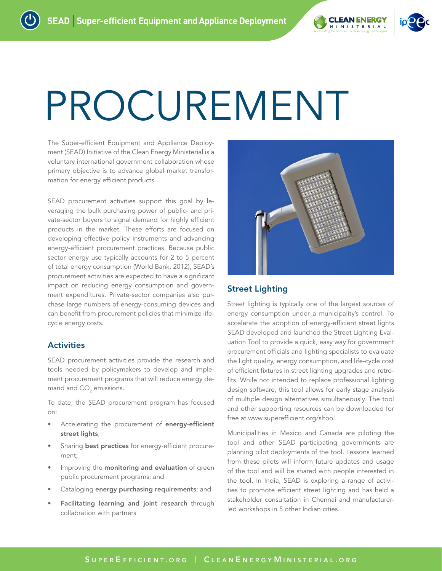

# PROCUREMENT

The Super-efficient Equipment and Appliance Deployment (SEAD) Initiative of the Clean Energy Ministerial is a voluntary international government collaboration whose primary objective is to advance global market transformation for energy efficient products.

SEAD procurement activities support this goal by leveraging the bulk purchasing power of public- and private-sector buyers to signal demand for highly efficient products in the market. These efforts are focused on developing effective policy instruments and advancing energy-efficient procurement practices. Because public sector energy use typically accounts for 2 to 5 percent of total energy consumption (World Bank, 2012), SEAD's procurement activities are expected to have a significant impact on reducing energy consumption and government expenditures. Private-sector companies also purchase large numbers of energy-consuming devices and can benefit from procurement policies that minimize lifecycle energy costs.

# **Activities**

SEAD procurement activities provide the research and tools needed by policymakers to develop and implement procurement programs that will reduce energy demand and CO $_{\rm 2}$  emissions.

To date, the SEAD procurement program has focused on:

- Accelerating the procurement of energy-efficient street lights;
- Sharing best practices for energy-efficient procurement;
- Improving the monitoring and evaluation of green public procurement programs; and
- Cataloging energy purchasing requirements; and
- Facilitating learning and joint research through collabration with partners



# Street Lighting

Street lighting is typically one of the largest sources of energy consumption under a municipality's control. To accelerate the adoption of energy-efficient street lights SEAD developed and launched the Street Lighting Evaluation Tool to provide a quick, easy way for government procurement officials and lighting specialists to evaluate the light quality, energy consumption, and life-cycle cost of efficient fixtures in street lighting upgrades and retrofits. While not intended to replace professional lighting design software, this tool allows for early stage analysis of multiple design alternatives simultaneously. The tool and other supporting resources can be downloaded for free at [www.superefficient.org/sltool.](http://www.superefficient.org/sltool)

Municipalities in Mexico and Canada are piloting the tool and other SEAD participating governments are planning pilot deployments of the tool. Lessons learned from these pilots will inform future updates and usage of the tool and will be shared with people interested in the tool. In India, SEAD is exploring a range of activities to promote efficient street lighting and has held a stakeholder consultation in Chennai and manufacturerled workshops in 5 other Indian cities.